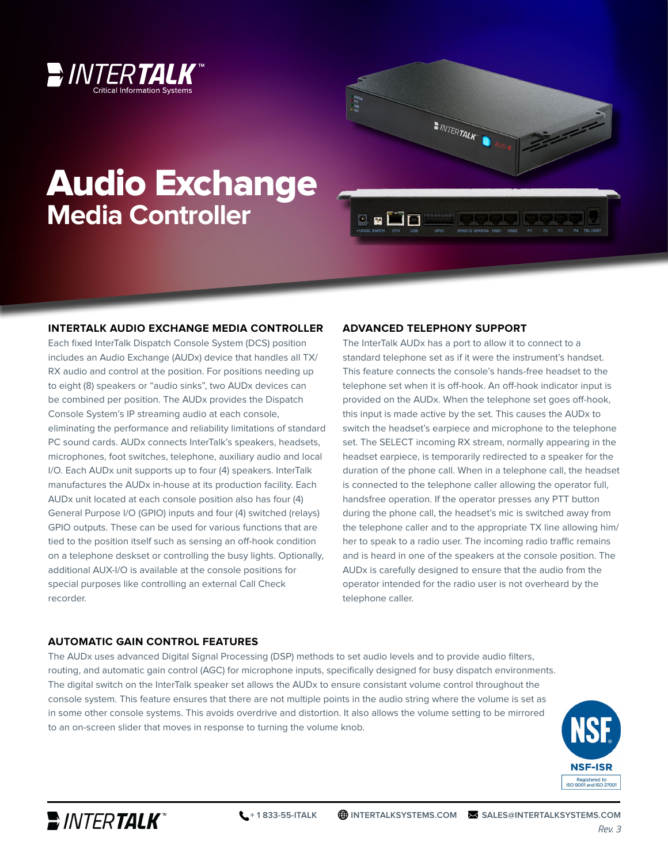



# Audio Exchange **Media Controller**

#### **INTERTALK AUDIO EXCHANGE MEDIA CONTROLLER**

Each fixed InterTalk Dispatch Console System (DCS) position includes an Audio Exchange (AUDx) device that handles all TX/ RX audio and control at the position. For positions needing up to eight (8) speakers or "audio sinks", two AUDx devices can be combined per position. The AUDx provides the Dispatch Console System's IP streaming audio at each console, eliminating the performance and reliability limitations of standard PC sound cards. AUDx connects InterTalk's speakers, headsets, microphones, foot switches, telephone, auxiliary audio and local I/O. Each AUDx unit supports up to four (4) speakers. InterTalk manufactures the AUDx in-house at its production facility. Each AUDx unit located at each console position also has four (4) General Purpose I/O (GPIO) inputs and four (4) switched (relays) GPIO outputs. These can be used for various functions that are tied to the position itself such as sensing an off-hook condition on a telephone deskset or controlling the busy lights. Optionally, additional AUX-I/O is available at the console positions for special purposes like controlling an external Call Check recorder.

#### **ADVANCED TELEPHONY SUPPORT**

The InterTalk AUDx has a port to allow it to connect to a standard telephone set as if it were the instrument's handset. This feature connects the console's hands-free headset to the telephone set when it is off-hook. An off-hook indicator input is provided on the AUDx. When the telephone set goes off-hook, this input is made active by the set. This causes the AUDx to switch the headset's earpiece and microphone to the telephone set. The SELECT incoming RX stream, normally appearing in the headset earpiece, is temporarily redirected to a speaker for the duration of the phone call. When in a telephone call, the headset is connected to the telephone caller allowing the operator full, handsfree operation. If the operator presses any PTT button during the phone call, the headset's mic is switched away from the telephone caller and to the appropriate TX line allowing him/ her to speak to a radio user. The incoming radio traffic remains and is heard in one of the speakers at the console position. The AUDx is carefully designed to ensure that the audio from the operator intended for the radio user is not overheard by the telephone caller.

#### **AUTOMATIC GAIN CONTROL FEATURES**

The AUDx uses advanced Digital Signal Processing (DSP) methods to set audio levels and to provide audio filters, routing, and automatic gain control (AGC) for microphone inputs, specifically designed for busy dispatch environments. The digital switch on the InterTalk speaker set allows the AUDx to ensure consistant volume control throughout the console system. This feature ensures that there are not multiple points in the audio string where the volume is set as in some other console systems. This avoids overdrive and distortion. It also allows the volume setting to be mirrored to an on-screen slider that moves in response to turning the volume knob.